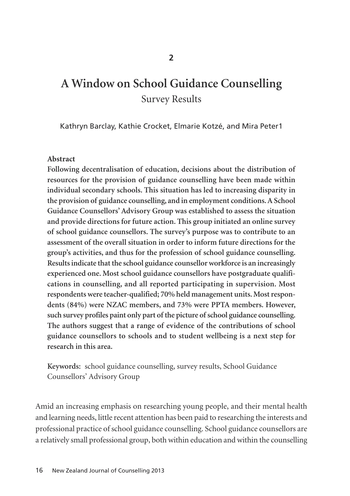# **A Window on School Guidance Counselling** Survey Results

Kathryn Barclay, Kathie Crocket, Elmarie Kotzé, and Mira Peter1

## **Abstract**

**Following decentralisation of education, decisions about the distribution of resources for the provision of guidance counselling have been made within individual secondary schools. This situation has led to increasing disparity in the provision of guidance counselling, and in employment conditions. A School Guidance Counsellors' Advisory Group was established to assess the situation and provide directions for future action. This group initiated an online survey of school guidance counsellors. The survey's purpose was to contribute to an assessment of the overall situation in order to inform future directions for the group's activities, and thus for the profession of school guidance counselling. Results indicate that the school guidance counsellor workforce is an increasingly experienced one. Most school guidance counsellors have postgraduate qualifi cations in counselling, and all reported participating in supervision. Most** respondents were teacher-qualified; 70% held management units. Most respon**dents (84%) were NZAC members, and 73% were PPTA members. However, such survey profiles paint only part of the picture of school guidance counselling. The authors suggest that a range of evidence of the contributions of school guidance counsellors to schools and to student wellbeing is a next step for research in this area.**

**Keywords:** school guidance counselling, survey results, School Guidance Counsellors' Advisory Group

Amid an increasing emphasis on researching young people, and their mental health and learning needs, little recent attention has been paid to researching the interests and professional practice of school guidance counselling. School guidance counsellors are a relatively small professional group, both within education and within the counselling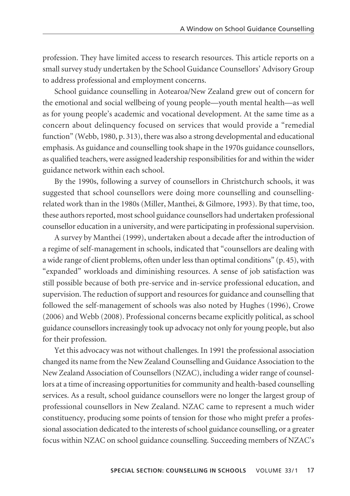profession. They have limited access to research resources. This article reports on a small survey study undertaken by the School Guidance Counsellors' Advisory Group to address professional and employment concerns.

School guidance counselling in Aotearoa/New Zealand grew out of concern for the emotional and social wellbeing of young people—youth mental health—as well as for young people's academic and vocational development. At the same time as a concern about delinquency focused on services that would provide a "remedial function" (Webb, 1980, p. 313), there was also a strong developmental and educational emphasis. As guidance and counselling took shape in the 1970s guidance counsellors, as qualified teachers, were assigned leadership responsibilities for and within the wider guidance network within each school.

By the 1990s, following a survey of counsellors in Christchurch schools, it was suggested that school counsellors were doing more counselling and counsellingrelated work than in the 1980s (Miller, Manthei, & Gilmore, 1993). By that time, too, these authors reported, most school guidance counsellors had undertaken professional counsellor education in a university, and were participating in professional supervision.

A survey by Manthei (1999), undertaken about a decade after the introduction of a regime of self-management in schools, indicated that "counsellors are dealing with a wide range of client problems, often under less than optimal conditions" (p. 45), with "expanded" workloads and diminishing resources. A sense of job satisfaction was still possible because of both pre-service and in-service professional education, and supervision. The reduction of support and resources for guidance and counselling that followed the self-management of schools was also noted by Hughes (1996), Crowe (2006) and Webb (2008). Professional concerns became explicitly political, as school guidance counsellors increasingly took up advocacy not only for young people, but also for their profession.

Yet this advocacy was not without challenges. In 1991 the professional association changed its name from the New Zealand Counselling and Guidance Association to the New Zealand Association of Counsellors (NZAC), including a wider range of counsellors at a time of increasing opportunities for community and health-based counselling services. As a result, school guidance counsellors were no longer the largest group of professional counsellors in New Zealand. NZAC came to represent a much wider constituency, producing some points of tension for those who might prefer a professional association dedicated to the interests of school guidance counselling, or a greater focus within NZAC on school guidance counselling. Succeeding members of NZAC's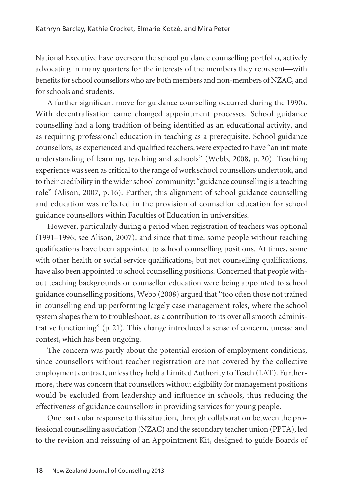National Executive have overseen the school guidance counselling portfolio, actively advocating in many quarters for the interests of the members they represent—with benefits for school counsellors who are both members and non-members of NZAC, and for schools and students.

A further significant move for guidance counselling occurred during the 1990s. With decentralisation came changed appointment processes. School guidance counselling had a long tradition of being identified as an educational activity, and as requiring professional education in teaching as a prerequisite. School guidance counsellors, as experienced and qualified teachers, were expected to have "an intimate understanding of learning, teaching and schools" (Webb, 2008, p. 20). Teaching experience was seen as critical to the range of work school counsellors undertook, and to their credibility in the wider school community: "guidance counselling is a teaching role" (Alison, 2007, p. 16). Further, this alignment of school guidance counselling and education was reflected in the provision of counsellor education for school guidance counsellors within Faculties of Education in universities.

However, particularly during a period when registration of teachers was optional (1991–1996; see Alison, 2007), and since that time, some people without teaching qualifications have been appointed to school counselling positions. At times, some with other health or social service qualifications, but not counselling qualifications, have also been appointed to school counselling positions. Concerned that people without teaching backgrounds or counsellor education were being appointed to school guidance counselling positions, Webb (2008) argued that "too often those not trained in counselling end up performing largely case management roles, where the school system shapes them to troubleshoot, as a contribution to its over all smooth administrative functioning" (p. 21). This change introduced a sense of concern, unease and contest, which has been ongoing.

The concern was partly about the potential erosion of employment conditions, since counsellors without teacher registration are not covered by the collective employment contract, unless they hold a Limited Authority to Teach (LAT). Further more, there was concern that counsellors without eligibility for management positions would be excluded from leadership and influence in schools, thus reducing the effectiveness of guidance counsellors in providing services for young people.

One particular response to this situation, through collaboration between the professional counselling association (NZAC) and the secondary teacher union (PPTA), led to the revision and reissuing of an Appointment Kit, designed to guide Boards of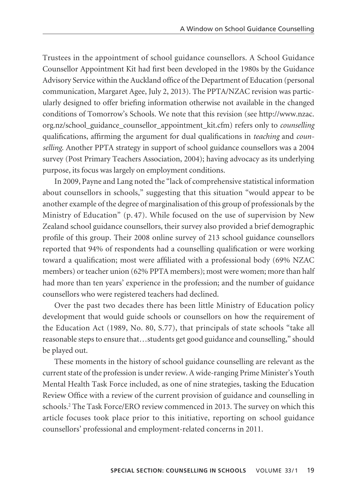Trustees in the appointment of school guidance counsellors. A School Guidance Counsellor Appointment Kit had first been developed in the 1980s by the Guidance Advisory Service within the Auckland office of the Department of Education (personal communication, Margaret Agee, July 2, 2013). The PPTA/NZAC revision was particularly designed to offer briefing information otherwise not available in the changed conditions of Tomorrow's Schools. We note that this revision (see http://www.nzac. org.nz/school\_guidance\_counsellor\_appointment\_kit.cfm) refers only to *counselling* qualifications, affirming the argument for dual qualifications in *teaching* and *counselling*. Another PPTA strategy in support of school guidance counsellors was a 2004 survey (Post Primary Teachers Association, 2004); having advocacy as its underlying purpose, its focus was largely on employment conditions.

In 2009, Payne and Lang noted the "lack of comprehensive statistical information about counsellors in schools," suggesting that this situation "would appear to be another example of the degree of marginalisation of this group of professionals by the Ministry of Education" (p. 47). While focused on the use of supervision by New Zealand school guidance counsellors, their survey also provided a brief demographic profile of this group. Their 2008 online survey of 213 school guidance counsellors reported that 94% of respondents had a counselling qualification or were working toward a qualification; most were affiliated with a professional body (69% NZAC members) or teacher union (62% PPTA members); most were women; more than half had more than ten years' experience in the profession; and the number of guidance counsellors who were registered teachers had declined.

Over the past two decades there has been little Ministry of Education policy development that would guide schools or counsellors on how the requirement of the Education Act (1989, No. 80, S.77), that principals of state schools "take all reasonable steps to ensure that…students get good guidance and counselling," should be played out.

These moments in the history of school guidance counselling are relevant as the current state of the profession is under review. A wide-ranging Prime Minister's Youth Mental Health Task Force included, as one of nine strategies, tasking the Education Review Office with a review of the current provision of guidance and counselling in schools.<sup>2</sup> The Task Force/ERO review commenced in 2013. The survey on which this article focuses took place prior to this initiative, reporting on school guidance counsellors' professional and employment-related concerns in 2011.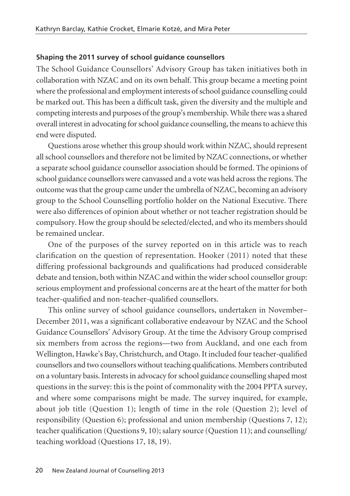## **Shaping the 2011 survey of school guidance counsellors**

The School Guidance Counsellors' Advisory Group has taken initiatives both in collaboration with NZAC and on its own behalf. This group became a meeting point where the professional and employment interests of school guidance counselling could be marked out. This has been a difficult task, given the diversity and the multiple and competing interests and purposes of the group's membership. While there was a shared overall interest in advocating for school guidance counselling, the means to achieve this end were disputed.

Questions arose whether this group should work within NZAC, should represent all school counsellors and therefore not be limited by NZAC connections, or whether a separate school guidance counsellor association should be formed. The opinions of school guidance counsellors were canvassed and a vote was held across the regions. The outcome was that the group came under the umbrella of NZAC, becoming an advisory group to the School Counselling portfolio holder on the National Executive. There were also differences of opinion about whether or not teacher registration should be compulsory. How the group should be selected/elected, and who its members should be remained unclear.

One of the purposes of the survey reported on in this article was to reach clarification on the question of representation. Hooker (2011) noted that these differing professional backgrounds and qualifications had produced considerable debate and tension, both within NZAC and within the wider school counsellor group: serious employment and professional concerns are at the heart of the matter for both teacher-qualified and non-teacher-qualified counsellors.

This online survey of school guidance counsellors, undertaken in November– December 2011, was a significant collaborative endeavour by NZAC and the School Guidance Counsellors' Advisory Group. At the time the Advisory Group comprised six members from across the regions—two from Auckland, and one each from Wellington, Hawke's Bay, Christchurch, and Otago. It included four teacher-qualified counsellors and two counsellors without teaching qualifications. Members contributed on a voluntary basis. Interests in advocacy for school guidance counselling shaped most questions in the survey: this is the point of commonality with the 2004 PPTA survey, and where some comparisons might be made. The survey inquired, for example, about job title (Question 1); length of time in the role (Question 2); level of responsibility (Question 6); professional and union membership (Questions 7, 12); teacher qualification (Questions 9, 10); salary source (Question 11); and counselling/ teaching workload (Questions 17, 18, 19).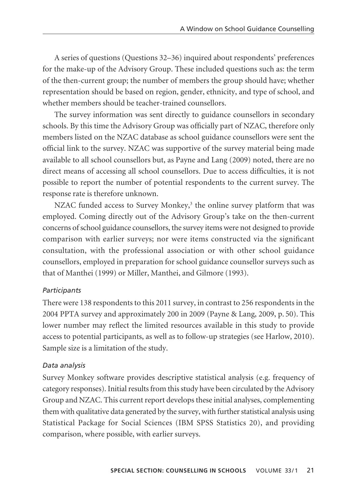A series of questions (Questions 32–36) inquired about respondents' preferences for the make-up of the Advisory Group. These included questions such as: the term of the then-current group; the number of members the group should have; whether representation should be based on region, gender, ethnicity, and type of school, and whether members should be teacher-trained counsellors.

The survey information was sent directly to guidance counsellors in secondary schools. By this time the Advisory Group was officially part of NZAC, therefore only members listed on the NZAC database as school guidance counsellors were sent the official link to the survey. NZAC was supportive of the survey material being made available to all school counsellors but, as Payne and Lang (2009) noted, there are no direct means of accessing all school counsellors. Due to access difficulties, it is not possible to report the number of potential respondents to the current survey. The response rate is therefore unknown.

NZAC funded access to Survey Monkey, $3$  the online survey platform that was employed. Coming directly out of the Advisory Group's take on the then-current concerns of school guidance counsellors, the survey items were not designed to provide comparison with earlier surveys; nor were items constructed via the significant consultation, with the professional association or with other school guidance counsellors, employed in preparation for school guidance counsellor surveys such as that of Manthei (1999) or Miller, Manthei, and Gilmore (1993).

#### *Participants*

There were 138 respondents to this 2011 survey, in contrast to 256 respondents in the 2004 PPTA survey and approximately 200 in 2009 (Payne & Lang, 2009, p. 50). This lower number may reflect the limited resources available in this study to provide access to potential participants, as well as to follow-up strategies (see Harlow, 2010). Sample size is a limitation of the study.

#### *Data analysis*

Survey Monkey software provides descriptive statistical analysis (e.g. frequency of category responses). Initial results from this study have been circulated by the Advisory Group and NZAC. This current report develops these initial analyses, complementing them with qualitative data generated by the survey, with further statistical analysis using Statistical Package for Social Sciences (IBM SPSS Statistics 20), and providing comparison, where possible, with earlier surveys.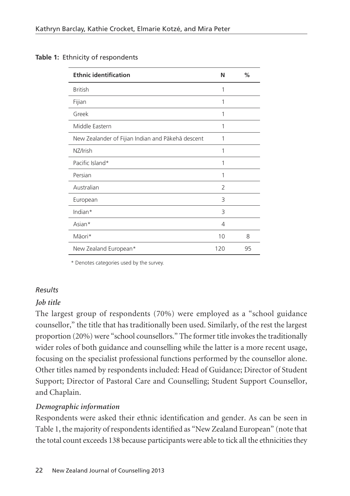| <b>Ethnic identification</b>                      | N              | %  |
|---------------------------------------------------|----------------|----|
| <b>British</b>                                    | 1              |    |
| Fijian                                            | 1              |    |
| Greek                                             | 1              |    |
| Middle Eastern                                    | 1              |    |
| New Zealander of Fijian Indian and Pākehā descent | 1              |    |
| NZ/Irish                                          | 1              |    |
| Pacific Island*                                   | 1              |    |
| Persian                                           | 1              |    |
| Australian                                        | $\overline{2}$ |    |
| European                                          | 3              |    |
| Indian*                                           | 3              |    |
| Asian*                                            | 4              |    |
| Māori*                                            | 10             | 8  |
| New Zealand European*                             | 120            | 95 |

## **Table 1:** Ethnicity of respondents

\* Denotes categories used by the survey.

# *Results*

# *Job title*

The largest group of respondents (70%) were employed as a "school guidance counsellor," the title that has traditionally been used. Similarly, of the rest the largest proportion (20%) were "school counsellors." The former title invokes the traditionally wider roles of both guidance and counselling while the latter is a more recent usage, focusing on the specialist professional functions performed by the counsellor alone. Other titles named by respondents included: Head of Guidance; Director of Student Support; Director of Pastoral Care and Counselling; Student Support Counsellor, and Chaplain.

# *Demographic information*

Respondents were asked their ethnic identification and gender. As can be seen in Table 1, the majority of respondents identified as "New Zealand European" (note that the total count exceeds 138 because participants were able to tick all the ethnicities they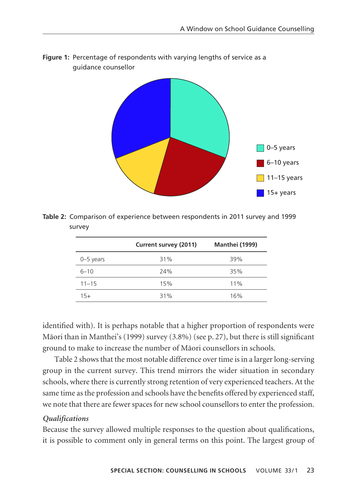

**Figure 1:** Percentage of respondents with varying lengths of service as a guidance counsellor

**Table 2:** Comparison of experience between respondents in 2011 survey and 1999 survey

|             | Current survey (2011) | Manthei (1999) |
|-------------|-----------------------|----------------|
| $0-5$ years | 31%                   | 39%            |
| $6 - 10$    | 24%                   | 35%            |
| $11 - 15$   | 15%                   | 11%            |
| $15+$       | 31%                   | 16%            |

identified with). It is perhaps notable that a higher proportion of respondents were Mäori than in Manthei's (1999) survey (3.8%) (see p. 27), but there is still significant ground to make to increase the number of Mäori counsellors in schools.

Table 2 shows that the most notable difference over time is in a larger long-serving group in the current survey. This trend mirrors the wider situation in secondary schools, where there is currently strong retention of very experienced teachers. At the same time as the profession and schools have the benefits offered by experienced staff, we note that there are fewer spaces for new school counsellors to enter the profession.

## *Qualifications*

Because the survey allowed multiple responses to the question about qualifications, it is possible to comment only in general terms on this point. The largest group of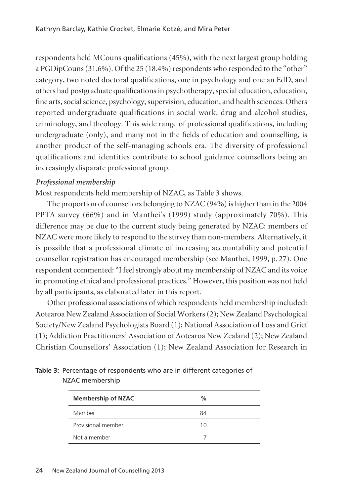respondents held MCouns qualifications (45%), with the next largest group holding a PGDipCouns (31.6%). Of the 25 (18.4%) respondents who responded to the "other" category, two noted doctoral qualifications, one in psychology and one an EdD, and others had postgraduate qualifications in psychotherapy, special education, education, fine arts, social science, psychology, supervision, education, and health sciences. Others reported undergraduate qualifications in social work, drug and alcohol studies, criminology, and theology. This wide range of professional qualifications, including undergraduate (only), and many not in the fields of education and counselling, is another product of the self-managing schools era. The diversity of professional qualifications and identities contribute to school guidance counsellors being an increasingly disparate professional group.

# *Professional membership*

Most respondents held membership of NZAC, as Table 3 shows.

The proportion of counsellors belonging to NZAC (94%) is higher than in the 2004 PPTA survey (66%) and in Manthei's (1999) study (approximately 70%). This difference may be due to the current study being generated by NZAC: members of NZAC were more likely to respond to the survey than non-members. Alternatively, it is possible that a professional climate of increasing accountability and potential counsellor registration has encouraged membership (see Manthei, 1999, p. 27). One respondent commented: "I feel strongly about my membership of NZAC and its voice in promoting ethical and professional practices." However, this position was not held by all participants, as elaborated later in this report.

Other professional associations of which respondents held membership included: Aotearoa New Zealand Association of Social Workers (2); New Zealand Psychological Society/New Zealand Psychologists Board (1); National Association of Loss and Grief (1); Addiction Practitioners' Association of Aotearoa New Zealand (2); New Zealand Christian Counsellors' Association (1); New Zealand Association for Research in

| Table 3: Percentage of respondents who are in different categories of |
|-----------------------------------------------------------------------|
| NZAC membership                                                       |

| <b>Membership of NZAC</b> | $\%$ |  |
|---------------------------|------|--|
| Member                    | 84   |  |
| Provisional member        | 10   |  |
| Not a member              |      |  |
|                           |      |  |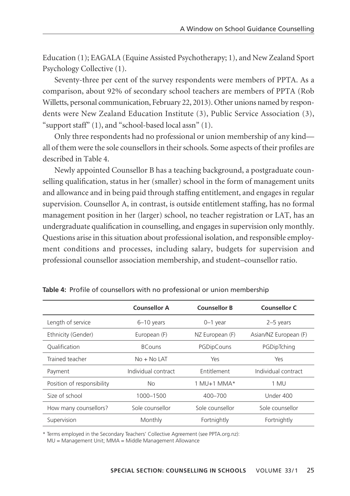Education (1); EAGALA (Equine Assisted Psychotherapy; 1), and New Zealand Sport Psychology Collective (1).

Seventy-three per cent of the survey respondents were members of PPTA. As a comparison, about 92% of secondary school teachers are members of PPTA (Rob Willetts, personal communication, February 22, 2013). Other unions named by respondents were New Zealand Education Institute (3), Public Service Association (3), "support staff" (1), and "school-based local assn" (1).

Only three respondents had no professional or union membership of any kind all of them were the sole counsellors in their schools. Some aspects of their profiles are described in Table 4.

Newly appointed Counsellor B has a teaching background, a postgraduate coun selling qualification, status in her (smaller) school in the form of management units and allowance and in being paid through staffing entitlement, and engages in regular supervision. Counsellor A, in contrast, is outside entitlement staffing, has no formal management position in her (larger) school, no teacher registration or LAT, has an undergraduate qualification in counselling, and engages in supervision only monthly. Questions arise in this situation about professional isolation, and responsible employ ment conditions and processes, including salary, budgets for supervision and professional counsellor association membership, and student–counsellor ratio.

|                            | <b>Counsellor A</b> | <b>Counsellor B</b> | Counsellor C          |
|----------------------------|---------------------|---------------------|-----------------------|
| Length of service          | $6-10$ years        | $0-1$ year          | $2-5$ years           |
| Ethnicity (Gender)         | European (F)        | NZ European (F)     | Asian/NZ European (F) |
| Oualification              | <b>BCouns</b>       | PGDipCouns          | PGDipTching           |
| Trained teacher            | $No + No$ LAT       | Yes                 | Yes                   |
| Payment                    | Individual contract | Entitlement         | Individual contract   |
| Position of responsibility | <b>No</b>           | $1$ MU+1 MMA*       | 1 MU                  |
| Size of school             | 1000-1500           | 400-700             | Under 400             |
| How many counsellors?      | Sole counsellor     | Sole counsellor     | Sole counsellor       |
| Supervision                | Monthly             | Fortnightly         | Fortnightly           |

**Table 4:** Profile of counsellors with no professional or union membership

\* Terms employed in the Secondary Teachers' Collective Agreement (see PPTA.org.nz):

MU = Management Unit; MMA = Middle Management Allowance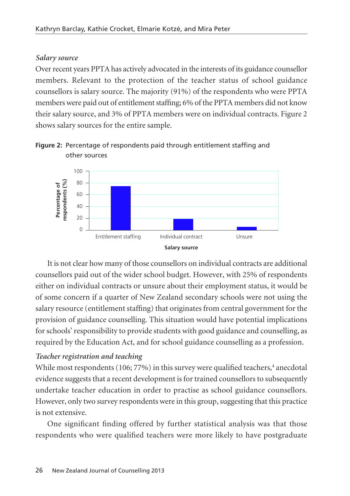## *Salary source*

Over recent years PPTA has actively advocated in the interests of its guidance counsellor members. Relevant to the protection of the teacher status of school guidance counsellors is salary source. The majority (91%) of the respondents who were PPTA members were paid out of entitlement staffing; 6% of the PPTA members did not know their salary source, and 3% of PPTA members were on individual contracts. Figure 2 shows salary sources for the entire sample.



**Figure 2:** Percentage of respondents paid through entitlement staffing and other sources

It is not clear how many of those counsellors on individual contracts are additional counsellors paid out of the wider school budget. However, with 25% of respondents either on individual contracts or unsure about their employment status, it would be of some concern if a quarter of New Zealand secondary schools were not using the salary resource (entitlement staffing) that originates from central government for the provision of guidance counselling. This situation would have potential implications for schools' responsibility to provide students with good guidance and counselling, as required by the Education Act, and for school guidance counselling as a profession.

# *Teacher registration and teaching*

While most respondents  $(106; 77%)$  in this survey were qualified teachers,<sup>4</sup> anecdotal evidence suggests that a recent development is for trained counsellors to subsequently undertake teacher education in order to practise as school guidance counsellors. However, only two survey respondents were in this group, suggesting that this practice is not extensive.

One significant finding offered by further statistical analysis was that those respondents who were qualified teachers were more likely to have postgraduate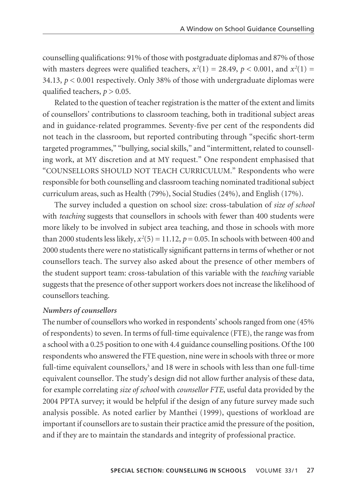counselling qualifications: 91% of those with postgraduate diplomas and 87% of those with masters degrees were qualified teachers,  $x^2(1) = 28.49$ ,  $p < 0.001$ , and  $x^2(1) =$ 34.13,  $p < 0.001$  respectively. Only 38% of those with undergraduate diplomas were qualified teachers,  $p > 0.05$ .

Related to the question of teacher registration is the matter of the extent and limits of counsellors' contributions to classroom teaching, both in traditional subject areas and in guidance-related programmes. Seventy-five per cent of the respondents did not teach in the classroom, but reported contributing through "specific short-term targeted programmes," "bullying, social skills," and "intermittent, related to counsell ing work, at MY discretion and at MY request." One respondent emphasised that "COUNSELLORS SHOULD NOT TEACH CURRICULUM." Respondents who were responsible for both counselling and classroom teaching nominated traditional subject curriculum areas, such as Health (79%), Social Studies (24%), and English (17%).

The survey included a question on school size: cross-tabulation of *size of school* with *teaching* suggests that counsellors in schools with fewer than 400 students were more likely to be involved in subject area teaching, and those in schools with more than 2000 students less likely,  $x^2(5) = 11.12$ ,  $p = 0.05$ . In schools with between 400 and 2000 students there were no statistically significant patterns in terms of whether or not counsellors teach. The survey also asked about the presence of other members of the student support team: cross-tabulation of this variable with the *teaching* variable suggests that the presence of other support workers does not increase the likelihood of counsellors teaching.

#### *Numbers of counsellors*

The number of counsellors who worked in respondents' schools ranged from one (45% of respondents) to seven. In terms of full-time equivalence (FTE), the range was from a school with a 0.25 position to one with 4.4 guidance counselling positions. Of the 100 respondents who answered the FTE question, nine were in schools with three or more full-time equivalent counsellors, $5$  and 18 were in schools with less than one full-time equivalent counsellor. The study's design did not allow further analysis of these data, for example correlating *size of school* with *counsellor FTE*, useful data provided by the 2004 PPTA survey; it would be helpful if the design of any future survey made such analysis possible. As noted earlier by Manthei (1999), questions of workload are important if counsellors are to sustain their practice amid the pressure of the position, and if they are to maintain the standards and integrity of professional practice.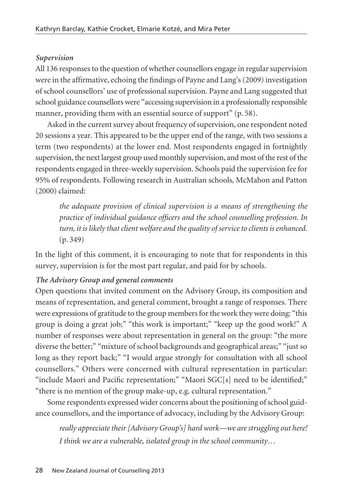## *Supervision*

All 136 responses to the question of whether counsellors engage in regular supervision were in the affirmative, echoing the findings of Payne and Lang's (2009) investigation of school counsellors' use of professional supervision. Payne and Lang suggested that school guidance counsellors were "accessing supervision in a professionally responsible manner, providing them with an essential source of support" (p. 58).

Asked in the current survey about frequency of supervision, one respondent noted 20 sessions a year. This appeared to be the upper end of the range, with two sessions a term (two respondents) at the lower end. Most respondents engaged in fortnightly supervision, the next largest group used monthly supervision, and most of the rest of the respondents engaged in three-weekly supervision. Schools paid the supervision fee for 95% of respondents. Following research in Australian schools, McMahon and Patton (2000) claimed:

*the adequate provision of clinical supervision is a means of strengthening the practice of individual guidance officers and the school counselling profession. In turn, it is likely that client welfare and the quality of service to clients is enhanced.* (p. 349)

In the light of this comment, it is encouraging to note that for respondents in this survey, supervision is for the most part regular, and paid for by schools.

#### *The Advisory Group and general comments*

Open questions that invited comment on the Advisory Group, its composition and means of representation, and general comment, brought a range of responses. There were expressions of gratitude to the group members for the work they were doing: "this group is doing a great job;" "this work is important;" "keep up the good work!" A number of responses were about representation in general on the group: "the more diverse the better;" "mixture of school backgrounds and geographical areas;" "just so long as they report back;" "I would argue strongly for consultation with all school counsellors." Others were concerned with cultural representation in particular: "include Maori and Pacific representation;" "Maori SGC[s] need to be identified;" "there is no mention of the group make-up, e.g. cultural representation."

Some respondents expressed wider concerns about the positioning of school guidance counsellors, and the importance of advocacy, including by the Advisory Group:

*really appreciate their [Advisory Group's] hard work—we are struggling out here! I think we are a vulnerable, isolated group in the school community…*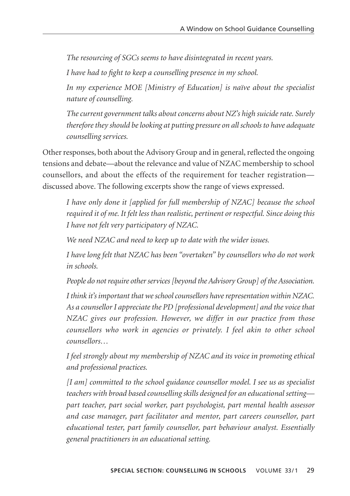*The resourcing of SGCs seems to have disintegrated in recent years.*

*I have had to fight to keep a counselling presence in my school.* 

*In my experience MOE [Ministry of Education] is naïve about the specialist nature of counselling.* 

*The current government talks about concerns about NZ's high suicide rate. Surely therefore they should be looking at putting pressure on all schools to have adequate counselling services.*

Other responses, both about the Advisory Group and in general, reflected the ongoing tensions and debate—about the relevance and value of NZAC membership to school counsellors, and about the effects of the requirement for teacher registration discussed above. The following excerpts show the range of views expressed.

*I have only done it [applied for full membership of NZAC] because the school required it of me. It felt less than realistic, pertinent or respectful. Since doing this I have not felt very participatory of NZAC.*

*We need NZAC and need to keep up to date with the wider issues.*

*I have long felt that NZAC has been "overtaken" by counsellors who do not work in schools.*

*People do not require other services [beyond the Advisory Group] of the Association.*

*I think it's important that we school counsellors have representation within NZAC. As a counsellor I appreciate the PD [professional development] and the voice that NZAC gives our profession. However, we differ in our practice from those counsellors who work in agencies or privately. I feel akin to other school counsellors…* 

*I feel strongly about my membership of NZAC and its voice in promoting ethical and professional practices.* 

*[I am] committed to the school guidance counsellor model. I see us as specialist teachers with broad based counselling skills designed for an educational setting part teacher, part social worker, part psychologist, part mental health assessor and case manager, part facilitator and mentor, part careers counsellor, part educational tester, part family counsellor, part behaviour analyst. Essentially general practitioners in an educational setting.*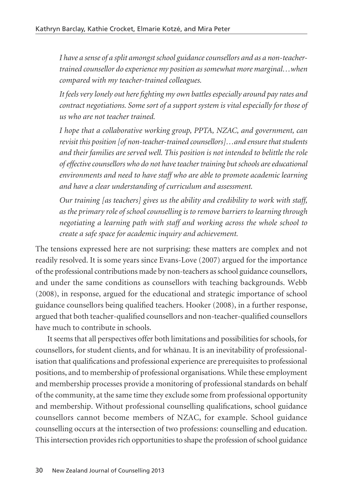*I have a sense of a split amongst school guidance counsellors and as a non-teachertrained counsellor do experience my position as somewhat more marginal…when compared with my teacher-trained colleagues.* 

*It feels very lonely out here fighting my own battles especially around pay rates and contract negotiations. Some sort of a support system is vital especially for those of us who are not teacher trained.*

*I hope that a collaborative working group, PPTA, NZAC, and government, can revisit this position [of non-teacher-trained counsellors]…and ensure that students and their families are served well. This position is not intended to belittle the role of effective counsellors who do not have teacher training but schools are educational environments and need to have staff who are able to promote academic learning and have a clear understanding of curriculum and assessment.* 

*Our training [as teachers] gives us the ability and credibility to work with staff, as the primary role of school counselling is to remove barriers to learning through negotiating a learning path with staff and working across the whole school to create a safe space for academic inquiry and achievement.* 

The tensions expressed here are not surprising: these matters are complex and not readily resolved. It is some years since Evans-Love (2007) argued for the importance of the professional contributions made by non-teachers as school guidance counsellors, and under the same conditions as counsellors with teaching backgrounds. Webb (2008), in response, argued for the educational and strategic importance of school guidance counsellors being qualified teachers. Hooker (2008), in a further response, argued that both teacher-qualified counsellors and non-teacher-qualified counsellors have much to contribute in schools.

It seems that all perspectives offer both limitations and possibilities for schools, for counsellors, for student clients, and for whänau. It is an inevitability of professional isation that qualifications and professional experience are prerequisites to professional positions, and to membership of professional organisations. While these employment and membership processes provide a monitoring of professional standards on behalf of the community, at the same time they exclude some from professional opportunity and membership. Without professional counselling qualifications, school guidance counsellors cannot become members of NZAC, for example. School guidance counselling occurs at the intersection of two professions: counselling and education. This intersection provides rich opportunities to shape the profession of school guidance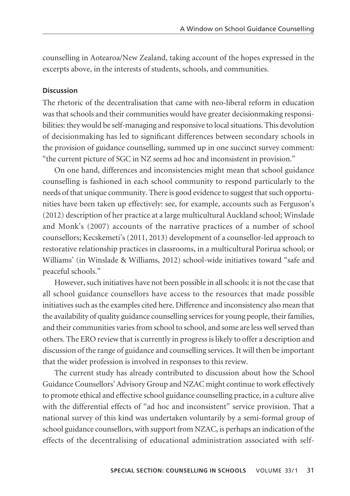counselling in Aotearoa/New Zealand, taking account of the hopes expressed in the excerpts above, in the interests of students, schools, and communities.

#### **Discussion**

The rhetoric of the decentralisation that came with neo-liberal reform in education was that schools and their communities would have greater decisionmaking responsibilities: they would be self-managing and responsive to local situations. This devolution of decisionmaking has led to significant differences between secondary schools in the provision of guidance counselling, summed up in one succinct survey comment: "the current picture of SGC in NZ seems ad hoc and inconsistent in provision."

On one hand, differences and inconsistencies might mean that school guidance counselling is fashioned in each school community to respond particularly to the needs of that unique community. There is good evidence to suggest that such opportunities have been taken up effectively: see, for example, accounts such as Ferguson's (2012) description of her practice at a large multicultural Auckland school; Winslade and Monk's (2007) accounts of the narrative practices of a number of school counsellors; Kecskemeti's (2011, 2013) development of a counsellor-led approach to restorative relationship practices in classrooms, in a multicultural Porirua school; or Williams' (in Winslade & Williams, 2012) school-wide initiatives toward "safe and peaceful schools."

However, such initiatives have not been possible in all schools: it is not the case that all school guidance counsellors have access to the resources that made possible initiatives such as the examples cited here. Difference and inconsistency also mean that the availability of quality guidance counselling services for young people, their families, and their communities varies from school to school, and some are less well served than others. The ERO review that is currently in progress is likely to offer a description and discussion of the range of guidance and counselling services. It will then be important that the wider profession is involved in responses to this review.

The current study has already contributed to discussion about how the School Guidance Counsellors' Advisory Group and NZAC might continue to work effectively to promote ethical and effective school guidance counselling practice, in a culture alive with the differential effects of "ad hoc and inconsistent" service provision. That a national survey of this kind was undertaken voluntarily by a semi-formal group of school guidance counsellors, with support from NZAC, is perhaps an indication of the effects of the decentralising of educational administration associated with self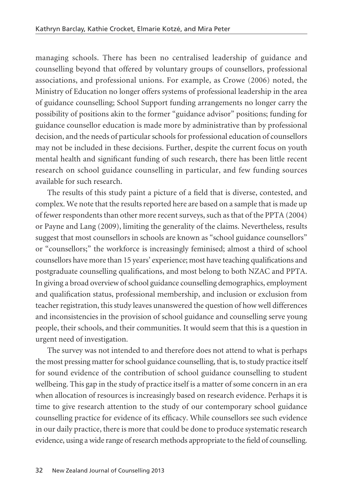managing schools. There has been no centralised leadership of guidance and counselling beyond that offered by voluntary groups of counsellors, professional associations, and professional unions. For example, as Crowe (2006) noted, the Ministry of Education no longer offers systems of professional leadership in the area of guidance counselling; School Support funding arrangements no longer carry the possibility of positions akin to the former "guidance advisor" positions; funding for guidance counsellor education is made more by administrative than by professional decision, and the needs of particular schools for professional education of counsellors may not be included in these decisions. Further, despite the current focus on youth mental health and significant funding of such research, there has been little recent research on school guidance counselling in particular, and few funding sources available for such research.

The results of this study paint a picture of a field that is diverse, contested, and complex. We note that the results reported here are based on a sample that is made up of fewer respondents than other more recent surveys, such as that of the PPTA (2004) or Payne and Lang (2009), limiting the generality of the claims. Nevertheless, results suggest that most counsellors in schools are known as "school guidance counsellors" or "counsellors;" the workforce is increasingly feminised; almost a third of school counsellors have more than 15 years' experience; most have teaching qualifications and postgraduate counselling qualifications, and most belong to both NZAC and PPTA. In giving a broad overview of school guidance counselling demographics, employment and qualification status, professional membership, and inclusion or exclusion from teacher registration, this study leaves unanswered the question of how well differences and inconsistencies in the provision of school guidance and counselling serve young people, their schools, and their communities. It would seem that this is a question in urgent need of investigation.

The survey was not intended to and therefore does not attend to what is perhaps the most pressing matter for school guidance counselling, that is, to study practice itself for sound evidence of the contribution of school guidance counselling to student wellbeing. This gap in the study of practice itself is a matter of some concern in an era when allocation of resources is increasingly based on research evidence. Perhaps it is time to give research attention to the study of our contemporary school guidance counselling practice for evidence of its efficacy. While counsellors see such evidence in our daily practice, there is more that could be done to produce systematic research evidence, using a wide range of research methods appropriate to the field of counselling.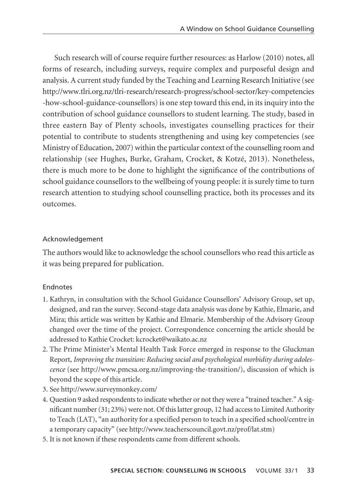Such research will of course require further resources: as Harlow (2010) notes, all forms of research, including surveys, require complex and purposeful design and analysis. A current study funded by the Teaching and Learning Research Initiative (see http://www.tlri.org.nz/tlri-research/research-progress/school-sector/key-competencies -how-school-guidance-counsellors) is one step toward this end, in its inquiry into the contribution of school guidance counsellors to student learning. The study, based in three eastern Bay of Plenty schools, investigates counselling practices for their potential to contribute to students strengthening and using key competencies (see Ministry of Education, 2007) within the particular context of the counselling room and relationship (see Hughes, Burke, Graham, Crocket, & Kotzé, 2013). Nonetheless, there is much more to be done to highlight the significance of the contributions of school guidance counsellors to the wellbeing of young people: it is surely time to turn research attention to studying school counselling practice, both its processes and its outcomes.

## Acknowledgement

The authors would like to acknowledge the school counsellors who read this article as it was being prepared for publication.

# **Endnotes**

- 1. Kathryn, in consultation with the School Guidance Counsellors' Advisory Group, set up, designed, and ran the survey. Second-stage data analysis was done by Kathie, Elmarie, and Mira; this article was written by Kathie and Elmarie. Membership of the Advisory Group changed over the time of the project. Correspondence concerning the article should be addressed to Kathie Crocket: kcrocket@waikato.ac.nz
- 2. The Prime Minister's Mental Health Task Force emerged in response to the Gluckman Report, *Improving the transition: Reducing social and psychological morbidity during adolescence* (see http://www.pmcsa.org.nz/improving-the-transition/), discussion of which is beyond the scope of this article.
- 3. See http://www.surveymonkey.com/
- 4. Question 9 asked respondents to indicate whether or not they were a "trained teacher." A significant number (31; 23%) were not. Of this latter group, 12 had access to Limited Authority to Teach (LAT), "an authority for a specified person to teach in a specified school/centre in a temporary capacity" (see http://www.teacherscouncil.govt.nz/prof/lat.stm)
- 5. It is not known if these respondents came from different schools.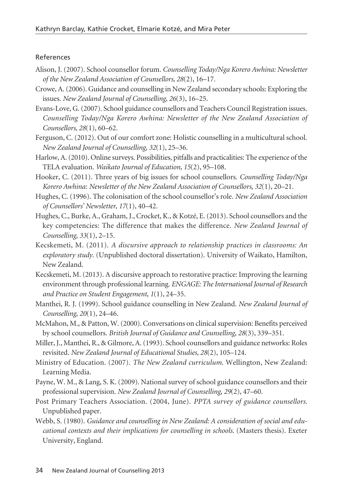#### References

- Alison, J. (2007). School counsellor forum. *Counselling Today/Nga Korero Awhina: Newsletter of the New Zealand Association of Counsellors, 28*(2), 16–17.
- Crowe, A. (2006). Guidance and counselling in New Zealand secondary schools: Exploring the issues. *New Zealand Journal of Counselling, 26*(3), 16–25.
- Evans-Love, G. (2007). School guidance counsellors and Teachers Council Registration issues. *Counselling Today/Nga Korero Awhina: Newsletter of the New Zealand Association of Counsellors, 28*(1), 60–62.
- Ferguson, C. (2012). Out of our comfort zone: Holistic counselling in a multicultural school. *New Zealand Journal of Counselling*, *32*(1), 25–36.
- Harlow, A. (2010). Online surveys. Possibilities, pitfalls and practicalities: The experience of the TELA evaluation. *Waikato Journal of Education, 15*(2), 95–108.
- Hooker, C. (2011). Three years of big issues for school counsellors. *Counselling Today/Nga Korero Awhina*: *Newsletter of the New Zealand Association of Counsellors*, *32*(1), 20–21.
- Hughes, C. (1996). The colonisation of the school counsellor's role. *New Zealand Association of Counsellors' Newsletter*, *17*(1), 40–42.
- Hughes, C., Burke, A., Graham, J., Crocket, K., & Kotzé, E. (2013). School counsellors and the key competencies: The difference that makes the difference. *New Zealand Journal of Counselling, 33*(1), 2–15.
- Kecskemeti, M. (2011). *A discursive approach to relationship practices in classrooms: An exploratory study*. (Unpublished doctoral dissertation). University of Waikato, Hamilton, New Zealand.
- Kecskemeti, M. (2013). A discursive approach to restorative practice: Improving the learning environment through professional learning. *ENGAGE: The International Journal of Research and Practice on Student Engagement*, *1*(1), 24–35.
- Manthei, R. J. (1999). School guidance counselling in New Zealand. *New Zealand Journal of Counselling*, *20*(1), 24–46.
- McMahon, M., & Patton, W. (2000). Conversations on clinical supervision: Benefits perceived by school counsellors. *British Journal of Guidance and Counselling*, *28*(3), 339–351.
- Miller, J., Manthei, R., & Gilmore, A. (1993). School counsellors and guidance networks: Roles revisited. *New Zealand Journal of Educational Studies, 28*(2), 105–124.
- Ministry of Education. (2007). *The New Zealand curriculum*. Wellington, New Zealand: Learning Media.
- Payne, W. M., & Lang, S. K. (2009). National survey of school guidance counsellors and their professional supervision. *New Zealand Journal of Counselling*, *29*(2), 47–60.
- Post Primary Teachers Association. (2004, June). *PPTA survey of guidance counsellors.* Unpublished paper.
- Webb, S. (1980). *Guidance and counselling in New Zealand: A consideration of social and educational contexts and their implications for counselling in schools*. (Masters thesis). Exeter University, England.